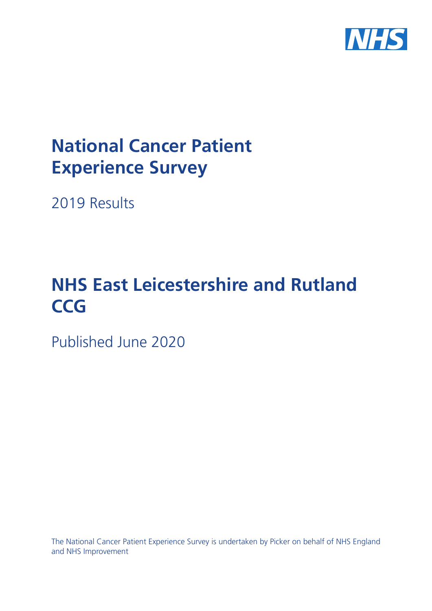

# **National Cancer Patient Experience Survey**

2019 Results

# **NHS East Leicestershire and Rutland CCG**

Published June 2020

The National Cancer Patient Experience Survey is undertaken by Picker on behalf of NHS England and NHS Improvement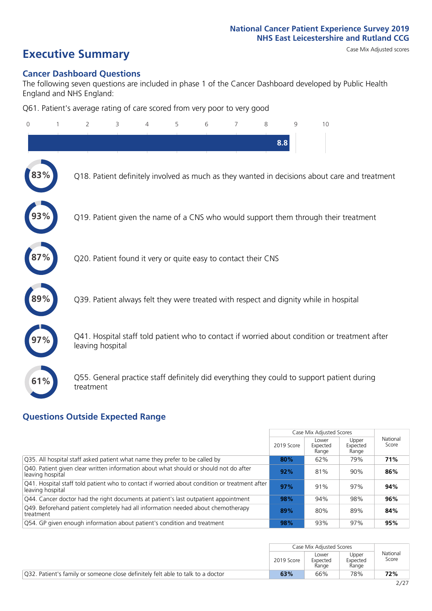# **Executive Summary** Case Mix Adjusted scores

#### **Cancer Dashboard Questions**

The following seven questions are included in phase 1 of the Cancer Dashboard developed by Public Health England and NHS England:

Q61. Patient's average rating of care scored from very poor to very good

| $\Omega$ | 2                                                             | 3 | 4 | 5 | 6 | 7 | 8   | 9 | 10                                                                                            |
|----------|---------------------------------------------------------------|---|---|---|---|---|-----|---|-----------------------------------------------------------------------------------------------|
|          |                                                               |   |   |   |   |   | 8.8 |   |                                                                                               |
|          |                                                               |   |   |   |   |   |     |   | Q18. Patient definitely involved as much as they wanted in decisions about care and treatment |
|          |                                                               |   |   |   |   |   |     |   | Q19. Patient given the name of a CNS who would support them through their treatment           |
|          | Q20. Patient found it very or quite easy to contact their CNS |   |   |   |   |   |     |   |                                                                                               |
|          |                                                               |   |   |   |   |   |     |   | Q39. Patient always felt they were treated with respect and dignity while in hospital         |
|          | leaving hospital                                              |   |   |   |   |   |     |   | Q41. Hospital staff told patient who to contact if worried about condition or treatment after |
| 61%      | treatment                                                     |   |   |   |   |   |     |   | Q55. General practice staff definitely did everything they could to support patient during    |

#### **Questions Outside Expected Range**

|                                                                                                                    |            | Case Mix Adjusted Scores   |                            |                   |
|--------------------------------------------------------------------------------------------------------------------|------------|----------------------------|----------------------------|-------------------|
|                                                                                                                    | 2019 Score | Lower<br>Expected<br>Range | Upper<br>Expected<br>Range | National<br>Score |
| Q35. All hospital staff asked patient what name they prefer to be called by                                        | 80%        | 62%                        | 79%                        | 71%               |
| Q40. Patient given clear written information about what should or should not do after<br>leaving hospital          | 92%        | 81%                        | 90%                        | 86%               |
| [Q41. Hospital staff told patient who to contact if worried about condition or treatment after<br>leaving hospital | 97%        | 91%                        | 97%                        | 94%               |
| Q44. Cancer doctor had the right documents at patient's last outpatient appointment                                | 98%        | 94%                        | 98%                        | 96%               |
| Q49. Beforehand patient completely had all information needed about chemotherapy<br>treatment                      | 89%        | 80%                        | 89%                        | 84%               |
| O54. GP given enough information about patient's condition and treatment                                           | 98%        | 93%                        | 97%                        | 95%               |

|                                                                                        |            | Case Mix Adjusted Scores   |                            |                   |
|----------------------------------------------------------------------------------------|------------|----------------------------|----------------------------|-------------------|
|                                                                                        | 2019 Score | Lower<br>Expected<br>Range | Upper<br>Expected<br>Range | National<br>Score |
| <b>Q32.</b> Patient's family or someone close definitely felt able to talk to a doctor | 63%        | 66%                        | 78%                        | 72%               |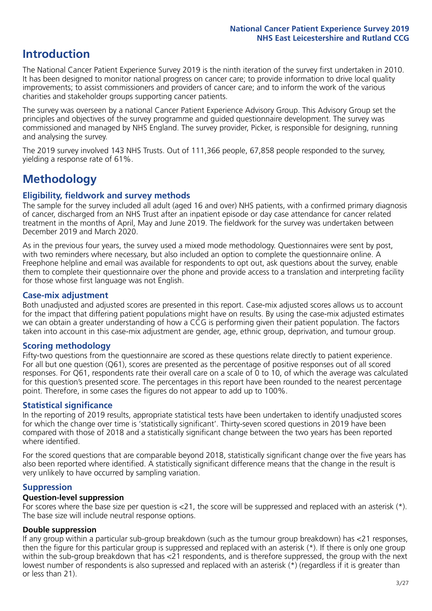# **Introduction**

The National Cancer Patient Experience Survey 2019 is the ninth iteration of the survey first undertaken in 2010. It has been designed to monitor national progress on cancer care; to provide information to drive local quality improvements; to assist commissioners and providers of cancer care; and to inform the work of the various charities and stakeholder groups supporting cancer patients.

The survey was overseen by a national Cancer Patient Experience Advisory Group. This Advisory Group set the principles and objectives of the survey programme and guided questionnaire development. The survey was commissioned and managed by NHS England. The survey provider, Picker, is responsible for designing, running and analysing the survey.

The 2019 survey involved 143 NHS Trusts. Out of 111,366 people, 67,858 people responded to the survey, yielding a response rate of 61%.

# **Methodology**

#### **Eligibility, fieldwork and survey methods**

The sample for the survey included all adult (aged 16 and over) NHS patients, with a confirmed primary diagnosis of cancer, discharged from an NHS Trust after an inpatient episode or day case attendance for cancer related treatment in the months of April, May and June 2019. The fieldwork for the survey was undertaken between December 2019 and March 2020.

As in the previous four years, the survey used a mixed mode methodology. Questionnaires were sent by post, with two reminders where necessary, but also included an option to complete the questionnaire online. A Freephone helpline and email was available for respondents to opt out, ask questions about the survey, enable them to complete their questionnaire over the phone and provide access to a translation and interpreting facility for those whose first language was not English.

#### **Case-mix adjustment**

Both unadjusted and adjusted scores are presented in this report. Case-mix adjusted scores allows us to account for the impact that differing patient populations might have on results. By using the case-mix adjusted estimates we can obtain a greater understanding of how a CCG is performing given their patient population. The factors taken into account in this case-mix adjustment are gender, age, ethnic group, deprivation, and tumour group.

#### **Scoring methodology**

Fifty-two questions from the questionnaire are scored as these questions relate directly to patient experience. For all but one question (Q61), scores are presented as the percentage of positive responses out of all scored responses. For Q61, respondents rate their overall care on a scale of 0 to 10, of which the average was calculated for this question's presented score. The percentages in this report have been rounded to the nearest percentage point. Therefore, in some cases the figures do not appear to add up to 100%.

#### **Statistical significance**

In the reporting of 2019 results, appropriate statistical tests have been undertaken to identify unadjusted scores for which the change over time is 'statistically significant'. Thirty-seven scored questions in 2019 have been compared with those of 2018 and a statistically significant change between the two years has been reported where identified.

For the scored questions that are comparable beyond 2018, statistically significant change over the five years has also been reported where identified. A statistically significant difference means that the change in the result is very unlikely to have occurred by sampling variation.

#### **Suppression**

#### **Question-level suppression**

For scores where the base size per question is  $<$ 21, the score will be suppressed and replaced with an asterisk (\*). The base size will include neutral response options.

#### **Double suppression**

If any group within a particular sub-group breakdown (such as the tumour group breakdown) has <21 responses, then the figure for this particular group is suppressed and replaced with an asterisk (\*). If there is only one group within the sub-group breakdown that has <21 respondents, and is therefore suppressed, the group with the next lowest number of respondents is also supressed and replaced with an asterisk (\*) (regardless if it is greater than or less than 21).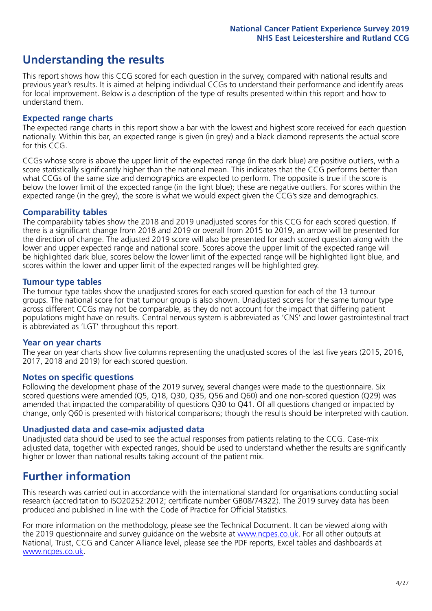# **Understanding the results**

This report shows how this CCG scored for each question in the survey, compared with national results and previous year's results. It is aimed at helping individual CCGs to understand their performance and identify areas for local improvement. Below is a description of the type of results presented within this report and how to understand them.

#### **Expected range charts**

The expected range charts in this report show a bar with the lowest and highest score received for each question nationally. Within this bar, an expected range is given (in grey) and a black diamond represents the actual score for this CCG.

CCGs whose score is above the upper limit of the expected range (in the dark blue) are positive outliers, with a score statistically significantly higher than the national mean. This indicates that the CCG performs better than what CCGs of the same size and demographics are expected to perform. The opposite is true if the score is below the lower limit of the expected range (in the light blue); these are negative outliers. For scores within the expected range (in the grey), the score is what we would expect given the CCG's size and demographics.

#### **Comparability tables**

The comparability tables show the 2018 and 2019 unadjusted scores for this CCG for each scored question. If there is a significant change from 2018 and 2019 or overall from 2015 to 2019, an arrow will be presented for the direction of change. The adjusted 2019 score will also be presented for each scored question along with the lower and upper expected range and national score. Scores above the upper limit of the expected range will be highlighted dark blue, scores below the lower limit of the expected range will be highlighted light blue, and scores within the lower and upper limit of the expected ranges will be highlighted grey.

#### **Tumour type tables**

The tumour type tables show the unadjusted scores for each scored question for each of the 13 tumour groups. The national score for that tumour group is also shown. Unadjusted scores for the same tumour type across different CCGs may not be comparable, as they do not account for the impact that differing patient populations might have on results. Central nervous system is abbreviated as 'CNS' and lower gastrointestinal tract is abbreviated as 'LGT' throughout this report.

#### **Year on year charts**

The year on year charts show five columns representing the unadjusted scores of the last five years (2015, 2016, 2017, 2018 and 2019) for each scored question.

#### **Notes on specific questions**

Following the development phase of the 2019 survey, several changes were made to the questionnaire. Six scored questions were amended (Q5, Q18, Q30, Q35, Q56 and Q60) and one non-scored question (Q29) was amended that impacted the comparability of questions Q30 to Q41. Of all questions changed or impacted by change, only Q60 is presented with historical comparisons; though the results should be interpreted with caution.

#### **Unadjusted data and case-mix adjusted data**

Unadjusted data should be used to see the actual responses from patients relating to the CCG. Case-mix adjusted data, together with expected ranges, should be used to understand whether the results are significantly higher or lower than national results taking account of the patient mix.

### **Further information**

This research was carried out in accordance with the international standard for organisations conducting social research (accreditation to ISO20252:2012; certificate number GB08/74322). The 2019 survey data has been produced and published in line with the Code of Practice for Official Statistics.

For more information on the methodology, please see the Technical Document. It can be viewed along with the 2019 questionnaire and survey quidance on the website at [www.ncpes.co.uk](https://www.ncpes.co.uk/supporting-documents). For all other outputs at National, Trust, CCG and Cancer Alliance level, please see the PDF reports, Excel tables and dashboards at [www.ncpes.co.uk.](https://www.ncpes.co.uk/current-results)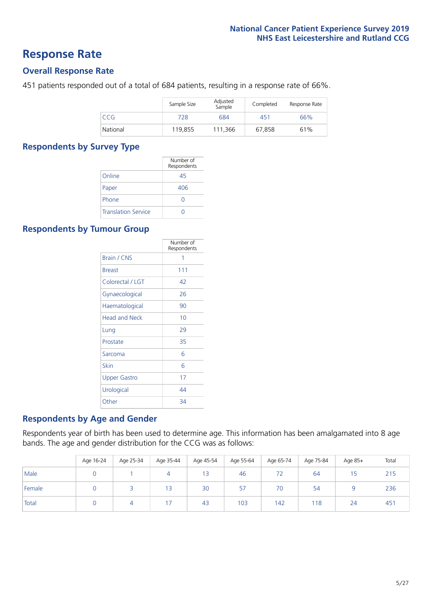### **Response Rate**

#### **Overall Response Rate**

451 patients responded out of a total of 684 patients, resulting in a response rate of 66%.

|          | Sample Size | Adjusted<br>Sample | Completed | Response Rate |
|----------|-------------|--------------------|-----------|---------------|
| CCG      | 728         | 684                | 451       | 66%           |
| National | 119,855     | 111.366            | 67.858    | 61%           |

#### **Respondents by Survey Type**

|                            | Number of<br>Respondents |
|----------------------------|--------------------------|
| Online                     | 45                       |
| Paper                      | 406                      |
| Phone                      | $\left( \right)$         |
| <b>Translation Service</b> |                          |

#### **Respondents by Tumour Group**

|                      | Number of<br>Respondents |
|----------------------|--------------------------|
| <b>Brain / CNS</b>   | 1                        |
| <b>Breast</b>        | 111                      |
| Colorectal / LGT     | 42                       |
| Gynaecological       | 26                       |
| Haematological       | 90                       |
| <b>Head and Neck</b> | 10                       |
| Lung                 | 29                       |
| Prostate             | 35                       |
| Sarcoma              | 6                        |
| Skin                 | 6                        |
| <b>Upper Gastro</b>  | 17                       |
| Urological           | 44                       |
| Other                | 34                       |

#### **Respondents by Age and Gender**

Respondents year of birth has been used to determine age. This information has been amalgamated into 8 age bands. The age and gender distribution for the CCG was as follows:

|        | Age 16-24 | Age 25-34 | Age 35-44 | Age 45-54 | Age 55-64 | Age 65-74 | Age 75-84 | Age 85+ | Total |
|--------|-----------|-----------|-----------|-----------|-----------|-----------|-----------|---------|-------|
| Male   |           |           |           | 13        | 46        | 72        | 64        | 15      | 215   |
| Female |           |           | 13        | 30        | 57        | 70        | 54        |         | 236   |
| Total  |           |           |           | 43        | 103       | 142       | 118       | 24      | 451   |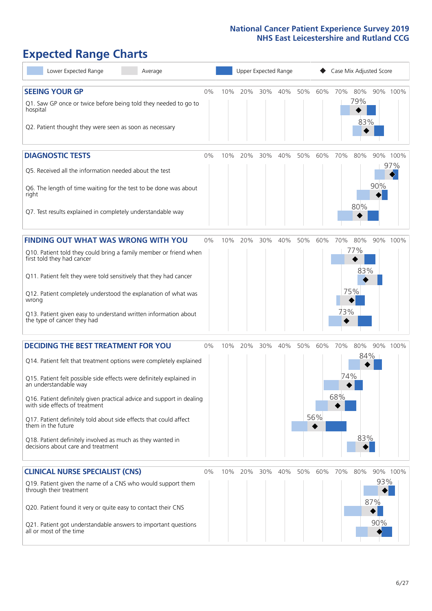# **Expected Range Charts**

| Lower Expected Range<br>Average                                                                                                                                                                                                                                                                                                                                                                                                                                                                                             |       |     |     | Upper Expected Range |     |     |            |                   | Case Mix Adjusted Score  |                   |                 |
|-----------------------------------------------------------------------------------------------------------------------------------------------------------------------------------------------------------------------------------------------------------------------------------------------------------------------------------------------------------------------------------------------------------------------------------------------------------------------------------------------------------------------------|-------|-----|-----|----------------------|-----|-----|------------|-------------------|--------------------------|-------------------|-----------------|
| <b>SEEING YOUR GP</b><br>Q1. Saw GP once or twice before being told they needed to go to<br>hospital<br>Q2. Patient thought they were seen as soon as necessary                                                                                                                                                                                                                                                                                                                                                             | 0%    | 10% | 20% | 30%                  | 40% | 50% | 60%        | 70%               | 80%<br>79%<br>83%        |                   | 90% 100%        |
| <b>DIAGNOSTIC TESTS</b><br>Q5. Received all the information needed about the test<br>Q6. The length of time waiting for the test to be done was about<br>right<br>Q7. Test results explained in completely understandable way                                                                                                                                                                                                                                                                                               | 0%    | 10% | 20% | 30%                  | 40% | 50% | 60%        | 70%               | 80%<br>80%               | 90%               | 90% 100%<br>97% |
| <b>FINDING OUT WHAT WAS WRONG WITH YOU</b><br>Q10. Patient told they could bring a family member or friend when<br>first told they had cancer<br>Q11. Patient felt they were told sensitively that they had cancer<br>Q12. Patient completely understood the explanation of what was<br>wrong<br>Q13. Patient given easy to understand written information about<br>the type of cancer they had                                                                                                                             | $0\%$ | 10% | 20% | 30%                  | 40% | 50% | 60%        | 70%<br>73%        | 80%<br>77%<br>83%<br>75% |                   | 90% 100%        |
| <b>DECIDING THE BEST TREATMENT FOR YOU</b><br>Q14. Patient felt that treatment options were completely explained<br>Q15. Patient felt possible side effects were definitely explained in<br>an understandable way<br>Q16. Patient definitely given practical advice and support in dealing<br>with side effects of treatment<br>Q17. Patient definitely told about side effects that could affect<br>them in the future<br>Q18. Patient definitely involved as much as they wanted in<br>decisions about care and treatment | 0%    | 10% | 20% | 30%                  | 40% | 50% | 60%<br>56% | 70%<br>74%<br>68% | 80%<br>84%<br>83%        |                   | 90% 100%        |
| <b>CLINICAL NURSE SPECIALIST (CNS)</b><br>Q19. Patient given the name of a CNS who would support them<br>through their treatment<br>Q20. Patient found it very or quite easy to contact their CNS<br>Q21. Patient got understandable answers to important questions<br>all or most of the time                                                                                                                                                                                                                              | $0\%$ | 10% | 20% | 30%                  | 40% | 50% | 60%        | 70%               | 80%                      | 93%<br>87%<br>90% | 90% 100%        |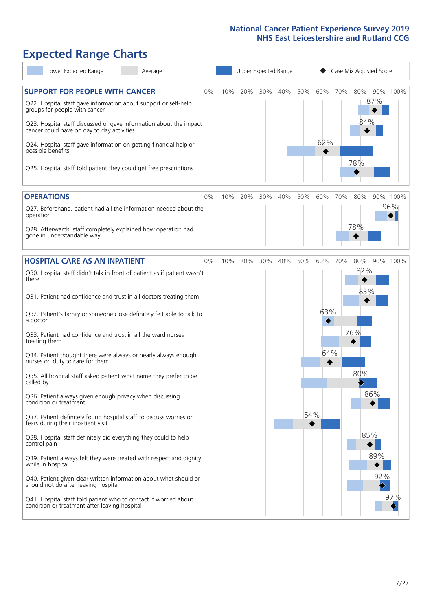# **Expected Range Charts**

| Lower Expected Range<br>Average                                                                                                                                                                                                                                                                                                                                                                                               |       |     |     | Upper Expected Range |     |     |            |     | Case Mix Adjusted Score  |          |  |
|-------------------------------------------------------------------------------------------------------------------------------------------------------------------------------------------------------------------------------------------------------------------------------------------------------------------------------------------------------------------------------------------------------------------------------|-------|-----|-----|----------------------|-----|-----|------------|-----|--------------------------|----------|--|
| <b>SUPPORT FOR PEOPLE WITH CANCER</b><br>Q22. Hospital staff gave information about support or self-help<br>groups for people with cancer<br>Q23. Hospital staff discussed or gave information about the impact<br>cancer could have on day to day activities<br>Q24. Hospital staff gave information on getting financial help or<br>possible benefits<br>Q25. Hospital staff told patient they could get free prescriptions | 0%    | 10% | 20% | 30%                  | 40% | 50% | 60%<br>62% | 70% | 80%<br>87%<br>84%<br>78% | 90% 100% |  |
| <b>OPERATIONS</b>                                                                                                                                                                                                                                                                                                                                                                                                             | 0%    | 10% | 20% | 30%                  | 40% | 50% | 60%        | 70% | 80%                      | 90% 100% |  |
| Q27. Beforehand, patient had all the information needed about the<br>operation<br>Q28. Afterwards, staff completely explained how operation had<br>gone in understandable way                                                                                                                                                                                                                                                 |       |     |     |                      |     |     |            |     | 78%                      | 96%      |  |
| <b>HOSPITAL CARE AS AN INPATIENT</b>                                                                                                                                                                                                                                                                                                                                                                                          | $0\%$ | 10% | 20% | 30%                  | 40% | 50% | 60%        | 70% | 80%                      | 90% 100% |  |
| Q30. Hospital staff didn't talk in front of patient as if patient wasn't<br>there<br>Q31. Patient had confidence and trust in all doctors treating them                                                                                                                                                                                                                                                                       |       |     |     |                      |     |     |            |     | 82%<br>83%               |          |  |
| Q32. Patient's family or someone close definitely felt able to talk to<br>a doctor                                                                                                                                                                                                                                                                                                                                            |       |     |     |                      |     |     | 63%        |     |                          |          |  |
| Q33. Patient had confidence and trust in all the ward nurses<br>treating them                                                                                                                                                                                                                                                                                                                                                 |       |     |     |                      |     |     |            |     | 76%                      |          |  |
| Q34. Patient thought there were always or nearly always enough<br>nurses on duty to care for them                                                                                                                                                                                                                                                                                                                             |       |     |     |                      |     |     | 64%        |     |                          |          |  |
| Q35. All hospital staff asked patient what name they prefer to be<br>called by                                                                                                                                                                                                                                                                                                                                                |       |     |     |                      |     |     |            |     | 80%                      |          |  |
| Q36. Patient always given enough privacy when discussing<br>condition or treatment                                                                                                                                                                                                                                                                                                                                            |       |     |     |                      |     |     |            |     | 86%                      |          |  |
| Q37. Patient definitely found hospital staff to discuss worries or<br>fears during their inpatient visit                                                                                                                                                                                                                                                                                                                      |       |     |     |                      |     | 54% |            |     |                          |          |  |
| Q38. Hospital staff definitely did everything they could to help<br>control pain                                                                                                                                                                                                                                                                                                                                              |       |     |     |                      |     |     |            |     | 85%                      |          |  |
| Q39. Patient always felt they were treated with respect and dignity<br>while in hospital                                                                                                                                                                                                                                                                                                                                      |       |     |     |                      |     |     |            |     | 89%                      |          |  |
| Q40. Patient given clear written information about what should or<br>should not do after leaving hospital                                                                                                                                                                                                                                                                                                                     |       |     |     |                      |     |     |            |     |                          | 92%      |  |
| Q41. Hospital staff told patient who to contact if worried about<br>condition or treatment after leaving hospital                                                                                                                                                                                                                                                                                                             |       |     |     |                      |     |     |            |     |                          | 97%      |  |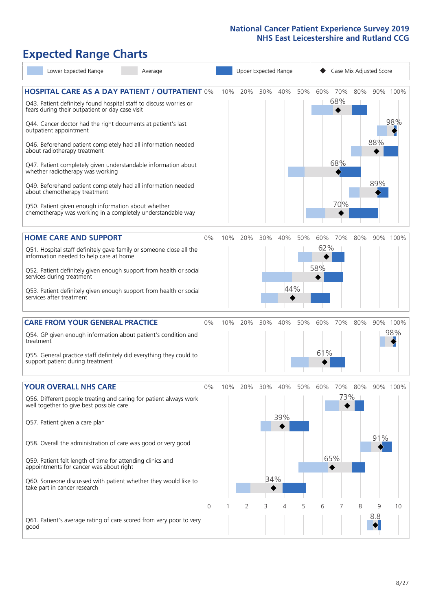## **Expected Range Charts**

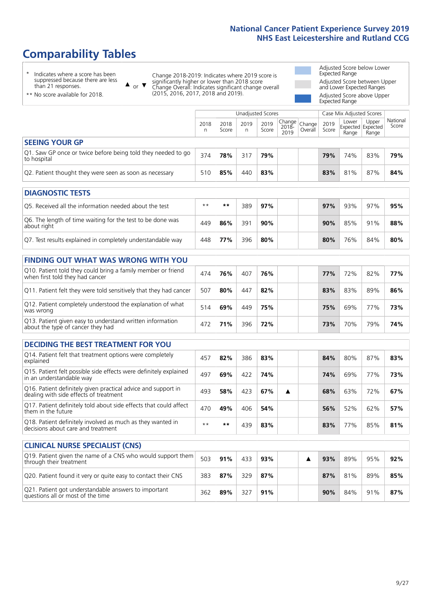# **Comparability Tables**

\* Indicates where a score has been suppressed because there are less than 21 responses.

\*\* No score available for 2018.

 $\triangle$  or  $\nabla$ 

Change 2018-2019: Indicates where 2019 score is significantly higher or lower than 2018 score Change Overall: Indicates significant change overall (2015, 2016, 2017, 2018 and 2019).

Adjusted Score below Lower Expected Range Adjusted Score between Upper and Lower Expected Ranges Adjusted Score above Upper Expected Range

|                                                                             |           |               | Unadjusted Scores |               |                                                     |         |               | Case Mix Adjusted Scores |                                     |                   |
|-----------------------------------------------------------------------------|-----------|---------------|-------------------|---------------|-----------------------------------------------------|---------|---------------|--------------------------|-------------------------------------|-------------------|
|                                                                             | 2018<br>n | 2018<br>Score | 2019<br>n         | 2019<br>Score | $\sqrt{(\text{Change})}$ Change<br>$2018 -$<br>2019 | Overall | 2019<br>Score | Lower<br>Range           | Upper<br>Expected Expected<br>Range | National<br>Score |
| <b>SEEING YOUR GP</b>                                                       |           |               |                   |               |                                                     |         |               |                          |                                     |                   |
| Q1. Saw GP once or twice before being told they needed to go<br>to hospital | 374       | 78%           | 317               | 79%           |                                                     |         | 79%           | 74%                      | 83%                                 | 79%               |
| Q2. Patient thought they were seen as soon as necessary                     | 510       | 85%           | 440               | 83%           |                                                     |         | 83%           | 81%                      | 87%                                 | 84%               |
| <b>DIAGNOSTIC TESTS</b>                                                     |           |               |                   |               |                                                     |         |               |                          |                                     |                   |

| O5. Received all the information needed about the test                    | $**$ | **  | 389 | 97% |  | 97% | 93% | 97% | 95% |
|---------------------------------------------------------------------------|------|-----|-----|-----|--|-----|-----|-----|-----|
| Q6. The length of time waiting for the test to be done was<br>about right | 449  | 86% | 391 | 90% |  | 90% | 85% | 91% | 88% |
| Q7. Test results explained in completely understandable way               | 448  | 77% | 396 | 80% |  | 80% | 76% | 84% | 80% |

| <b>FINDING OUT WHAT WAS WRONG WITH YOU</b>                                                      |     |     |     |     |     |     |     |     |
|-------------------------------------------------------------------------------------------------|-----|-----|-----|-----|-----|-----|-----|-----|
| Q10. Patient told they could bring a family member or friend<br>when first told they had cancer | 474 | 76% | 407 | 76% | 77% | 72% | 82% | 77% |
| Q11. Patient felt they were told sensitively that they had cancer                               | 507 | 80% | 447 | 82% | 83% | 83% | 89% | 86% |
| Q12. Patient completely understood the explanation of what<br>was wrong                         | 514 | 69% | 449 | 75% | 75% | 69% | 77% | 73% |
| Q13. Patient given easy to understand written information<br>about the type of cancer they had  | 472 | 71% | 396 | 72% | 73% | 70% | 79% | 74% |

| <b>DECIDING THE BEST TREATMENT FOR YOU</b>                                                              |      |     |     |     |  |     |     |     |     |
|---------------------------------------------------------------------------------------------------------|------|-----|-----|-----|--|-----|-----|-----|-----|
| Q14. Patient felt that treatment options were completely<br>explained                                   | 457  | 82% | 386 | 83% |  | 84% | 80% | 87% | 83% |
| Q15. Patient felt possible side effects were definitely explained<br>in an understandable way           | 497  | 69% | 422 | 74% |  | 74% | 69% | 77% | 73% |
| Q16. Patient definitely given practical advice and support in<br>dealing with side effects of treatment | 493  | 58% | 423 | 67% |  | 68% | 63% | 72% | 67% |
| Q17. Patient definitely told about side effects that could affect<br>them in the future                 | 470  | 49% | 406 | 54% |  | 56% | 52% | 62% | 57% |
| Q18. Patient definitely involved as much as they wanted in<br>decisions about care and treatment        | $**$ | **  | 439 | 83% |  | 83% | 77% | 85% | 81% |

| <b>CLINICAL NURSE SPECIALIST (CNS)</b>                                                    |     |     |     |     |  |     |     |     |     |
|-------------------------------------------------------------------------------------------|-----|-----|-----|-----|--|-----|-----|-----|-----|
| Q19. Patient given the name of a CNS who would support them<br>through their treatment    | 503 | 91% | 433 | 93% |  | 93% | 89% | 95% | 92% |
| Q20. Patient found it very or quite easy to contact their CNS                             | 383 | 87% | 329 | 87% |  | 87% | 81% | 89% | 85% |
| Q21. Patient got understandable answers to important<br>questions all or most of the time | 362 | 89% | 327 | 91% |  | 90% | 84% | 91% | 87% |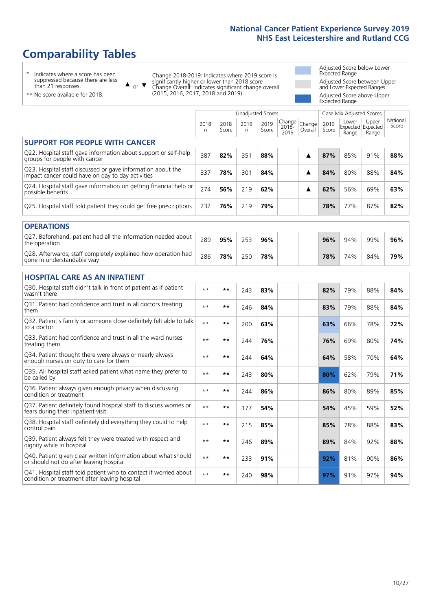# **Comparability Tables**

\* Indicates where a score has been suppressed because there are less than 21 responses.

\*\* No score available for 2018.

 $\triangle$  or  $\nabla$ 

Change 2018-2019: Indicates where 2019 score is significantly higher or lower than 2018 score Change Overall: Indicates significant change overall (2015, 2016, 2017, 2018 and 2019).

Adjusted Score below Lower Expected Range Adjusted Score between Upper and Lower Expected Ranges Adjusted Score above Upper Expected Range

|                                                                                                                   |              |               | <b>Unadjusted Scores</b> |               |                         |                   |               | Case Mix Adjusted Scores            |                |                   |
|-------------------------------------------------------------------------------------------------------------------|--------------|---------------|--------------------------|---------------|-------------------------|-------------------|---------------|-------------------------------------|----------------|-------------------|
|                                                                                                                   | 2018<br>n    | 2018<br>Score | 2019<br>n.               | 2019<br>Score | Change<br>2018-<br>2019 | Change<br>Overall | 2019<br>Score | Lower<br>Expected Expected<br>Range | Upper<br>Range | National<br>Score |
| <b>SUPPORT FOR PEOPLE WITH CANCER</b>                                                                             |              |               |                          |               |                         |                   |               |                                     |                |                   |
| Q22. Hospital staff gave information about support or self-help<br>groups for people with cancer                  | 387          | 82%           | 351                      | 88%           |                         | ▲                 | 87%           | 85%                                 | 91%            | 88%               |
| Q23. Hospital staff discussed or gave information about the<br>impact cancer could have on day to day activities  | 337          | 78%           | 301                      | 84%           |                         | ▲                 | 84%           | 80%                                 | 88%            | 84%               |
| Q24. Hospital staff gave information on getting financial help or<br>possible benefits                            | 274          | 56%           | 219                      | 62%           |                         | ▲                 | 62%           | 56%                                 | 69%            | 63%               |
| Q25. Hospital staff told patient they could get free prescriptions                                                | 232          | 76%           | 219                      | 79%           |                         |                   | 78%           | 77%                                 | 87%            | 82%               |
| <b>OPERATIONS</b>                                                                                                 |              |               |                          |               |                         |                   |               |                                     |                |                   |
| Q27. Beforehand, patient had all the information needed about<br>the operation                                    | 289          | 95%           | 253                      | 96%           |                         |                   | 96%           | 94%                                 | 99%            | 96%               |
| Q28. Afterwards, staff completely explained how operation had<br>gone in understandable way                       | 286          | 78%           | 250                      | 78%           |                         |                   | 78%           | 74%                                 | 84%            | 79%               |
| <b>HOSPITAL CARE AS AN INPATIENT</b>                                                                              |              |               |                          |               |                         |                   |               |                                     |                |                   |
| Q30. Hospital staff didn't talk in front of patient as if patient<br>wasn't there                                 | $\star\star$ | **            | 243                      | 83%           |                         |                   | 82%           | 79%                                 | 88%            | 84%               |
| Q31. Patient had confidence and trust in all doctors treating<br>them                                             | $* *$        | $***$         | 246                      | 84%           |                         |                   | 83%           | 79%                                 | 88%            | 84%               |
| Q32. Patient's family or someone close definitely felt able to talk<br>to a doctor                                | $* *$        | $***$         | 200                      | 63%           |                         |                   | 63%           | 66%                                 | 78%            | 72%               |
| O33. Patient had confidence and trust in all the ward nurses<br>treating them                                     | $**$         | $***$         | 244                      | 76%           |                         |                   | 76%           | 69%                                 | 80%            | 74%               |
| Q34. Patient thought there were always or nearly always<br>enough nurses on duty to care for them                 | $\star\star$ | $**$          | 244                      | 64%           |                         |                   | 64%           | 58%                                 | 70%            | 64%               |
| Q35. All hospital staff asked patient what name they prefer to<br>be called by                                    | $* *$        | $***$         | 243                      | 80%           |                         |                   | 80%           | 62%                                 | 79%            | 71%               |
| Q36. Patient always given enough privacy when discussing<br>condition or treatment                                | $* *$        | $***$         | 244                      | 86%           |                         |                   | 86%           | 80%                                 | 89%            | 85%               |
| Q37. Patient definitely found hospital staff to discuss worries or<br>fears during their inpatient visit          | $**$         | $***$         | 177                      | 54%           |                         |                   | 54%           | 45%                                 | 59%            | 52%               |
| Q38. Hospital staff definitely did everything they could to help<br>control pain                                  | $\star\star$ | $***$         | 215                      | 85%           |                         |                   | 85%           | 78%                                 | 88%            | 83%               |
| Q39. Patient always felt they were treated with respect and<br>dignity while in hospital                          | $\star\star$ | $***$         | 246                      | 89%           |                         |                   | 89%           | 84%                                 | 92%            | 88%               |
| Q40. Patient given clear written information about what should<br>or should not do after leaving hospital         | $**$         | $***$         | 233                      | 91%           |                         |                   | 92%           | 81%                                 | 90%            | 86%               |
| Q41. Hospital staff told patient who to contact if worried about<br>condition or treatment after leaving hospital | $**$         | $***$         | 240                      | 98%           |                         |                   | 97%           | 91%                                 | 97%            | 94%               |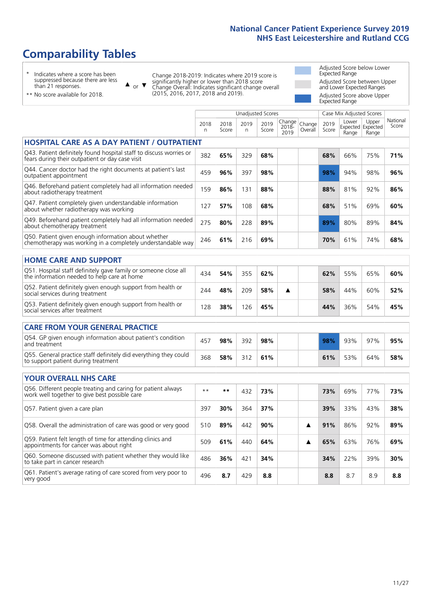# **Comparability Tables**

\* Indicates where a score has been suppressed because there are less than 21 responses.

\*\* No score available for 2018.

 $\triangle$  or  $\nabla$ 

Change 2018-2019: Indicates where 2019 score is significantly higher or lower than 2018 score Change Overall: Indicates significant change overall (2015, 2016, 2017, 2018 and 2019).

Adjusted Score below Lower Expected Range Adjusted Score between Upper and Lower Expected Ranges Adjusted Score above Upper Expected Range

|                                                                                                                       |            |               | Unadjusted Scores |               |                            |                   |               | Case Mix Adjusted Scores            |                |                   |
|-----------------------------------------------------------------------------------------------------------------------|------------|---------------|-------------------|---------------|----------------------------|-------------------|---------------|-------------------------------------|----------------|-------------------|
|                                                                                                                       | 2018<br>n. | 2018<br>Score | 2019<br>n         | 2019<br>Score | Change<br>$2018 -$<br>2019 | Change<br>Overall | 2019<br>Score | Lower<br>Expected Expected<br>Range | Upper<br>Range | National<br>Score |
| HOSPITAL CARE AS A DAY PATIENT / OUTPATIENT                                                                           |            |               |                   |               |                            |                   |               |                                     |                |                   |
| Q43. Patient definitely found hospital staff to discuss worries or<br>fears during their outpatient or day case visit | 382        | 65%           | 329               | 68%           |                            |                   | 68%           | 66%                                 | 75%            | 71%               |
| Q44. Cancer doctor had the right documents at patient's last<br>outpatient appointment                                | 459        | 96%           | 397               | 98%           |                            |                   | 98%           | 94%                                 | 98%            | 96%               |
| Q46. Beforehand patient completely had all information needed<br>about radiotherapy treatment                         | 159        | 86%           | 131               | 88%           |                            |                   | 88%           | 81%                                 | 92%            | 86%               |
| Q47. Patient completely given understandable information<br>about whether radiotherapy was working                    | 127        | 57%           | 108               | 68%           |                            |                   | 68%           | 51%                                 | 69%            | 60%               |
| Q49. Beforehand patient completely had all information needed<br>about chemotherapy treatment                         | 275        | 80%           | 228               | 89%           |                            |                   | 89%           | 80%                                 | 89%            | 84%               |
| Q50. Patient given enough information about whether<br>chemotherapy was working in a completely understandable way    | 246        | 61%           | 216               | 69%           |                            |                   | 70%           | 61%                                 | 74%            | 68%               |
| <b>HOME CARE AND SUPPORT</b>                                                                                          |            |               |                   |               |                            |                   |               |                                     |                |                   |
| Q51. Hospital staff definitely gave family or someone close all<br>the information needed to help care at home        | 434        | 54%           | 355               | 62%           |                            |                   | 62%           | 55%                                 | 65%            | 60%               |
| Q52. Patient definitely given enough support from health or<br>social services during treatment                       | 244        | 48%           | 209               | 58%           | ▲                          |                   | 58%           | 44%                                 | 60%            | 52%               |
| Q53. Patient definitely given enough support from health or<br>social services after treatment                        | 128        | 38%           | 126               | 45%           |                            |                   | 44%           | 36%                                 | 54%            | 45%               |
| <b>CARE FROM YOUR GENERAL PRACTICE</b>                                                                                |            |               |                   |               |                            |                   |               |                                     |                |                   |
| Q54. GP given enough information about patient's condition<br>and treatment                                           | 457        | 98%           | 392               | 98%           |                            |                   | 98%           | 93%                                 | 97%            | 95%               |
| Q55. General practice staff definitely did everything they could<br>to support patient during treatment               | 368        | 58%           | 312               | 61%           |                            |                   | 61%           | 53%                                 | 64%            | 58%               |
| <b>YOUR OVERALL NHS CARE</b>                                                                                          |            |               |                   |               |                            |                   |               |                                     |                |                   |
| Q56. Different people treating and caring for patient always                                                          | $* *$      | $***$         | 432               | 73%           |                            |                   | 73%           | 69%                                 | 77%            | 73%               |
| work well together to give best possible care                                                                         |            |               |                   |               |                            |                   |               |                                     |                |                   |
| Q57. Patient given a care plan                                                                                        | 397        | 30%           | 364               | 37%           |                            |                   | 39%           | 33%                                 | 43%            | 38%               |
| Q58. Overall the administration of care was good or very good                                                         | 510        | 89%           | 442               | 90%           |                            | ▲                 | 91%           | 86%                                 | 92%            | 89%               |
| Q59. Patient felt length of time for attending clinics and<br>appointments for cancer was about right                 | 509        | 61%           | 440               | 64%           |                            | ▲                 | 65%           | 63%                                 | 76%            | 69%               |
| Q60. Someone discussed with patient whether they would like<br>to take part in cancer research                        | 486        | 36%           | 421               | 34%           |                            |                   | 34%           | 22%                                 | 39%            | 30%               |
| Q61. Patient's average rating of care scored from very poor to<br>very good                                           | 496        | 8.7           | 429               | 8.8           |                            |                   | 8.8           | 8.7                                 | 8.9            | 8.8               |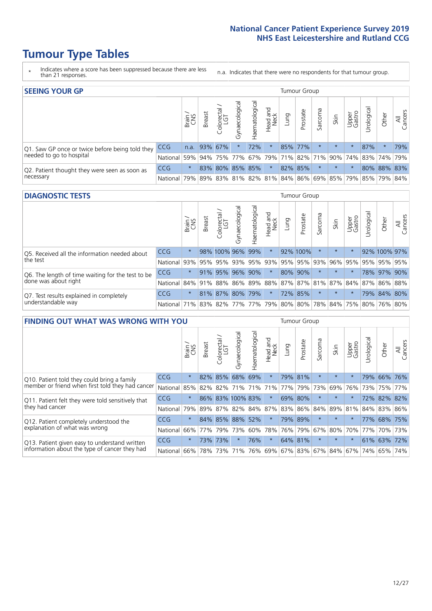# **Tumour Type Tables**

- \* Indicates where a score has been suppressed because there are less than 21 responses.
- n.a. Indicates that there were no respondents for that tumour group.

| <b>SEEING YOUR GP</b>                           |            |         |                 |                   |                    |                |                  |         | Tumour Group        |         |                                                         |                 |            |             |                |
|-------------------------------------------------|------------|---------|-----------------|-------------------|--------------------|----------------|------------------|---------|---------------------|---------|---------------------------------------------------------|-----------------|------------|-------------|----------------|
|                                                 |            | Brain   | <b>Breast</b>   | Colorectal<br>LGT | ᠊ᢛ<br>Gynaecologic | Haematological | Head and<br>Neck | Dung    | Prostate            | Sarcoma | Skin                                                    | Upper<br>Gastro | Jrological | Other       | All<br>Cancers |
| Q1. Saw GP once or twice before being told they | <b>CCG</b> |         | n.a. $93\%$ 67% |                   |                    | 72%            | $\star$          | 85% 77% |                     |         | $\star$                                                 | $\star$         | 87%        | $\star$     | 79%            |
| needed to go to hospital                        | National   |         | 59% 94% 75% 77% |                   |                    |                |                  |         | 67% 79% 71% 82% 71% |         | 90%   74%   83%   74%   79%                             |                 |            |             |                |
| Q2. Patient thought they were seen as soon as   | <b>CCG</b> | $\star$ |                 | 83% 80% 85% 85%   |                    |                | $\star$          |         | 82% 85%             |         | $\star$                                                 |                 |            | 80% 88% 83% |                |
| necessary                                       | National   |         |                 |                   |                    |                |                  |         |                     |         | 79% 89% 83% 81% 82% 81% 84% 86% 69% 85% 79% 85% 79% 84% |                 |            |             |                |

#### **DIAGNOSTIC TESTS** Tumour Group

|                                                   |                                                                  | Brain<br>CNS | <b>Breast</b> | olorectal<br>LGT<br>$\cup$ | $\overline{\sigma}$<br>Gynaecologic | Haematologica       | Head and<br>Neck | <b>Dung</b> | Prostate | Sarcoma | Skin                                                    | Upper<br>Gastro | Irological      | Other        | All<br>Cancers |
|---------------------------------------------------|------------------------------------------------------------------|--------------|---------------|----------------------------|-------------------------------------|---------------------|------------------|-------------|----------|---------|---------------------------------------------------------|-----------------|-----------------|--------------|----------------|
| Q5. Received all the information needed about     | <b>CCG</b>                                                       | $\star$      |               | 98% 100% 96%               |                                     | 99%                 | $\ast$           |             | 92% 100% |         | $\star$                                                 | $\star$         |                 | 92% 100% 97% |                |
| the test                                          | National                                                         | 93%          |               | 95% 95%                    |                                     | 93% 95% 93% 95% 95% |                  |             |          | 93%     | $ 96\% $                                                |                 | 95% 95% 95% 95% |              |                |
| Q6. The length of time waiting for the test to be | <b>CCG</b>                                                       | $\star$      |               | 91% 95%                    | 96%                                 | 90%                 | $\star$          | 80% 90%     |          |         | $\star$                                                 | $\star$         |                 | 78% 97% 90%  |                |
| done was about right                              | National                                                         |              |               |                            |                                     |                     |                  |             |          |         | 84% 91% 88% 86% 89% 88% 87% 87% 81% 87% 84% 87% 86% 88% |                 |                 |              |                |
| Q7. Test results explained in completely          | <b>CCG</b>                                                       | $\star$      |               | 81% 87% 80% 79%            |                                     |                     | $\star$          |             | 72% 85%  | $\star$ | $\star$                                                 |                 |                 | 79% 84% 80%  |                |
| understandable way                                | National 71% 83% 82% 77% 77% 79% 80% 80% 78% 84% 75% 80% 76% 80% |              |               |                            |                                     |                     |                  |             |          |         |                                                         |                 |                 |              |                |

| <b>FINDING OUT WHAT WAS WRONG WITH YOU</b>        |            |         |               |                             |                  |                   |                  |             | <b>Tumour Group</b> |          |         |                         |            |             |                |
|---------------------------------------------------|------------|---------|---------------|-----------------------------|------------------|-------------------|------------------|-------------|---------------------|----------|---------|-------------------------|------------|-------------|----------------|
|                                                   |            | Brain   | <b>Breast</b> | ╮<br>olorectal.<br>LGT<br>Ü | Gynaecological   | aematologica<br>Ĩ | Head and<br>Neck | Lung        | Prostate            | Sarcoma  | Skin    | Upper<br>Gastro         | Urological | Other       | All<br>Cancers |
| Q10. Patient told they could bring a family       | <b>CCG</b> | $\star$ | 82%           | 85%                         | 68%              | 69%               | $\star$          | 79% 81%     |                     | $\ast$   | $\star$ | $\star$                 | 79%        | 66% 76%     |                |
| member or friend when first told they had cancer  | National   | 85%     | 82%           | 82%                         | 71%              | 71%               | 71%              | 77%         | 79%                 | 73%      | 69%     | 76%                     | 73%        | 75%         | 77%            |
| Q11. Patient felt they were told sensitively that | <b>CCG</b> | $\star$ |               |                             | 86% 83% 100% 83% |                   | $\ast$           | 69% 80%     |                     | $^\star$ | $\star$ |                         |            | 72% 82% 82% |                |
| they had cancer                                   | National   | 79%     | 89%           |                             | 87% 82% 84% 87%  |                   |                  | 83% 86% 84% |                     |          | 89% 81% |                         |            | 84% 83%     | 86%            |
| Q12. Patient completely understood the            | <b>CCG</b> | $\star$ |               | 84% 85%                     | 88%              | 52%               | $\star$          |             | 79% 89%             | $\star$  | $\star$ |                         | 77%        | 68%         | 175%           |
| explanation of what was wrong                     | National   | 66%     | 77%           | 79%                         | 73%              | 60%               |                  | 78% 76% 79% |                     | 67%      | 80%     | 70%                     | 77%        |             | 70% 73%        |
| Q13. Patient given easy to understand written     | <b>CCG</b> | $\star$ | 73%           | 73%                         | $\star$          | 76%               | $\star$          | 64% 81%     |                     | $\ast$   | $\star$ | $\star$                 |            | 61% 63%     | 72%            |
| information about the type of cancer they had     | National   | 66%     | 78%           | 73%                         | 71%              | 76%               |                  |             |                     |          |         | 69% 67% 83% 67% 84% 67% | 74%        | 65%         | 74%            |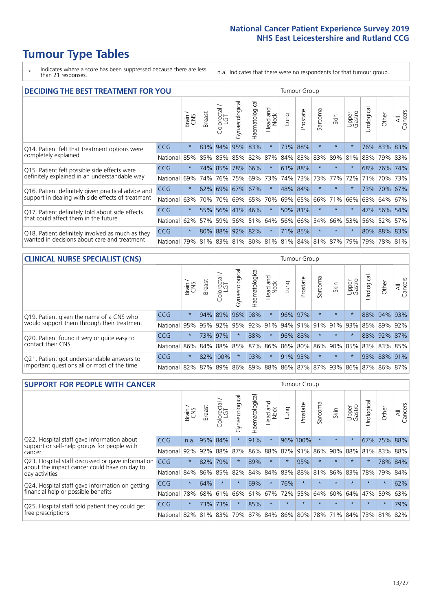# **Tumour Type Tables**

\* Indicates where a score has been suppressed because there are less than 21 responses.

n.a. Indicates that there were no respondents for that tumour group.

| <b>DECIDING THE BEST TREATMENT FOR YOU</b>         |            |         |               |                            |                |                |                        |      | <b>Tumour Group</b> |                                     |         |                 |            |             |                |
|----------------------------------------------------|------------|---------|---------------|----------------------------|----------------|----------------|------------------------|------|---------------------|-------------------------------------|---------|-----------------|------------|-------------|----------------|
|                                                    |            | Brain   | <b>Breast</b> | olorectal<br>LGT<br>$\cup$ | Gynaecological | Haematological | ad and<br>Neck<br>Head | Lung | Prostate            | Sarcoma                             | Skin    | Upper<br>Gastro | Jrological | Other       | All<br>Cancers |
| Q14. Patient felt that treatment options were      | CCG        | $\star$ | 83%           | 94%                        | 95%            | 83%            | $\star$                | 73%  | 88%                 | $\star$                             |         | $\star$         |            | 76% 83% 83% |                |
| completely explained                               | National   | 85%     | 85%           | 85%                        |                | 85% 82%        | 87%                    |      | 84% 83%             | 83%                                 | 89%     | 81%             | 83%        | 79% 83%     |                |
| Q15. Patient felt possible side effects were       | <b>CCG</b> | $\star$ | 74%           | 85%                        | 78%            | 66%            | $\star$                |      | 63% 88%             | $\star$                             |         | $\star$         |            | 68% 76% 74% |                |
| definitely explained in an understandable way      | National   | 69%     | 74%           | 76%                        |                | 75% 69%        | 73%                    |      | 74% 73%             | 73%                                 | 77%     | 72%             | 71%        | 70%         | 73%            |
| Q16. Patient definitely given practical advice and | CCG        | $\star$ |               | 62% 69% 67% 67%            |                |                | $\star$                |      | 48% 84%             | $\star$                             | $\star$ | $\star$         |            | 73% 70% 67% |                |
| support in dealing with side effects of treatment  | National   | 63%     | 70%           | 70%                        |                | 69% 65%        | 70%                    |      | 69% 65%             | 66%                                 | 71%     | 66%             |            | 63% 64%     | 67%            |
| Q17. Patient definitely told about side effects    | CCG        | $\star$ |               | 55% 56% 41% 46%            |                |                | $\ast$                 |      | 50% 81%             | $\ast$                              | $\star$ | $\star$         |            | 47% 56% 54% |                |
| that could affect them in the future               | National   | 62%     | 57%           | 59%                        |                | 56% 51%        | 64%                    |      | 56% 66%             | 54%                                 | 66%     | 53%             |            | 56% 52%     | 57%            |
| Q18. Patient definitely involved as much as they   | <b>CCG</b> | $\star$ |               | 80% 88% 92% 82%            |                |                | $\star$                |      | 71% 85%             | $^\star$                            | $\star$ | $\star$         |            | 80% 88% 83% |                |
| wanted in decisions about care and treatment       | National   | 79%     |               |                            |                |                |                        |      |                     | 81% 83% 81% 80% 81% 81% 84% 81% 87% |         | 79%             | 79%        | 78% 81%     |                |

#### **CLINICAL NURSE SPECIALIST (CNS)** Tumour Group

|                                             |          | Brain           | <b>Breast</b>   | Colorectal<br>LGT | Gynaecologica | శా<br>aematologi | Head and<br>Neck | Lung        | Prostate | Sarcoma | Skin          | Upper<br>Gastro                 | rological | Other       | All<br>Cancers |
|---------------------------------------------|----------|-----------------|-----------------|-------------------|---------------|------------------|------------------|-------------|----------|---------|---------------|---------------------------------|-----------|-------------|----------------|
| Q19. Patient given the name of a CNS who    | CCG      | $\star$         |                 | 94% 89%           | 96%           | 98%              | $\star$          |             | 96% 97%  | $\star$ | $\star$       |                                 |           | 88% 94% 93% |                |
| would support them through their treatment  | National | 95%             | 95%             | 92%               | 95%           | 92%              | 91%              |             | 94% 91%  |         | $ 91\% 91\% $ | 93%                             | 85%       | 89%         | 92%            |
| Q20. Patient found it very or quite easy to | CCG      | $\star$         |                 | 73% 97%           |               | 88%              | $\star$          |             | 96% 88%  |         | $\star$       | $\star$                         |           | 88% 92%     | 87%            |
| contact their CNS                           | National |                 | 86% 84% 88% 85% |                   |               | 87%              |                  | 86% 86% 80% |          |         |               | 86% 90% 85%                     |           | 83% 83%     | 85%            |
| Q21. Patient got understandable answers to  | CCG      | $\star$         |                 | 82% 100%          |               | 93%              | $\star$          |             | 91% 93%  | $\star$ | $\star$       | $\star$                         | 93%       | 88%         | 91%            |
| important questions all or most of the time | National | 82% 87% 89% 86% |                 |                   |               |                  |                  |             |          |         |               | 89% 88% 86% 87% 87% 93% 86% 87% |           | 86%         | 87%            |

| <b>SUPPORT FOR PEOPLE WITH CANCER</b>                                                             |            |         |               |            |                |                |                            |             | Tumour Group |                  |         |                 |           |         |                |
|---------------------------------------------------------------------------------------------------|------------|---------|---------------|------------|----------------|----------------|----------------------------|-------------|--------------|------------------|---------|-----------------|-----------|---------|----------------|
|                                                                                                   |            | Brain   | <b>Breast</b> | Colorectal | Gynaecological | Haematological | and<br><b>Neck</b><br>Head | <b>Lung</b> | Prostate     | arcoma<br>$\sim$ | Skin    | Upper<br>Gastro | Jrologica | Other   | All<br>Cancers |
| Q22. Hospital staff gave information about<br>support or self-help groups for people with         | CCG        | n.a.    | 95%           | 84%        | $\star$        | 91%            | $\star$                    |             | 96% 100%     | $\star$          | $\star$ | $\star$         | 67%       | 75%     | 88%            |
| cancer                                                                                            | National   | 92%     | 92%           | 88%        | 87%            | 86%            | 88%                        | 87%         | 91%          | 86%              | 90%     | 88%             | 81%       | 83%     | 88%            |
| Q23. Hospital staff discussed or gave information<br>about the impact cancer could have on day to | CCG        | $\star$ | 82%           | 79%        | $\star$        | 89%            | $\star$                    | $\star$     | 95%          | $\star$          | $\star$ | $\star$         | $\star$   | 78%     | 84%            |
| day activities                                                                                    | National   | 84%     | 86%           | 85%        | 82%            | 84%            | 84%                        | 83%         | 88%          | 81%              | 86%     | 83%             | 78%       | 79%     | 84%            |
| Q24. Hospital staff gave information on getting                                                   | <b>CCG</b> | $\star$ | 64%           | $\star$    | $\star$        | 69%            | $\ast$                     | 76%         | $\star$      | $\star$          | $\star$ | $\star$         | $\star$   | $\star$ | 62%            |
| financial help or possible benefits                                                               | National   | 78%     | 68%           | 61%        | 66%            | 61%            | 67%                        | 72%         | 55%          | 64%              | 60%     | 64%             | 47%       | 59%     | 63%            |
| Q25. Hospital staff told patient they could get                                                   | <b>CCG</b> | $\star$ | 73%           | 73%        | $\star$        | 85%            | $\star$                    | $\star$     | $\star$      |                  |         | $\star$         | $\star$   | $\ast$  | 79%            |
| free prescriptions                                                                                | National   | 82%     | 81%           | 83%        | 79%            | 87%            | 84%                        | 86%         | 80%          | 78%              | 71%     | 84%             | 73%       | 81%     | 82%            |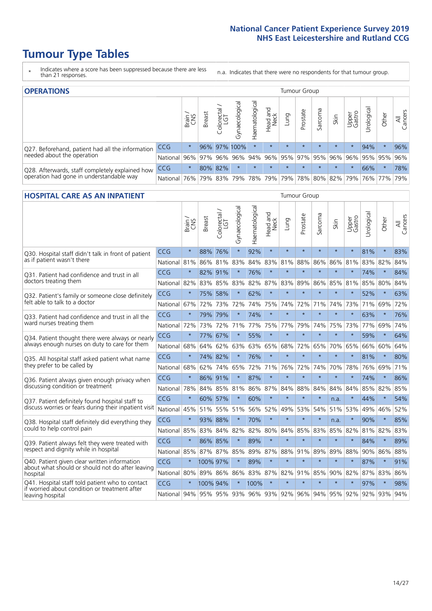# **Tumour Type Tables**

- \* Indicates where a score has been suppressed because there are less than 21 responses.
- n.a. Indicates that there were no respondents for that tumour group.

| <b>OPERATIONS</b>                                |            |              |               |                   |                   |                |                  |             | Tumour Group |         |                             |                 |           |                                                           |                |
|--------------------------------------------------|------------|--------------|---------------|-------------------|-------------------|----------------|------------------|-------------|--------------|---------|-----------------------------|-----------------|-----------|-----------------------------------------------------------|----------------|
|                                                  |            | Brain<br>CNS | <b>Breast</b> | Colorectal<br>LGT | ক<br>Gynaecologic | Haematological | Head and<br>Neck | <b>Gunn</b> | Prostate     | Sarcoma | Skin                        | Upper<br>Gastro | rological | Other                                                     | All<br>Cancers |
| Q27. Beforehand, patient had all the information | CCG        | $\star$      |               |                   | 96% 97% 100%      | $\star$        | $\star$          | $\star$     | $\star$      | $\star$ | $\star$                     | $\star$         | 94%       | $\ast$                                                    | 96%            |
| needed about the operation                       | National   | 96%          | 97%           | 96%               |                   |                |                  |             |              |         |                             |                 |           | 96%   94%   96%   95%   97%   95%   96%   96%   95%   95% | 96%            |
| Q28. Afterwards, staff completely explained how  | <b>CCG</b> | $\star$      |               | 80% 82%           | $\star$           |                | $\star$          | $\star$     | $\star$      | $\star$ | $\star$                     | $\star$         | 66%       | $\star$                                                   | 78%            |
| operation had gone in understandable way         | National   | 76%          |               | 79% 83%           |                   |                | 79%   78%   79%  |             |              |         | 79%   78%   80%   82%   79% |                 |           | 76%   77%                                                 | 79%            |

#### **HOSPITAL CARE AS AN INPATIENT** Tumour Group

|                                                                                                  |              | Brain   | Breast      | Colorectal /<br>LGT | Gynaecological | Haematological | Head and<br>Neck | Lung        | Prostate | Sarcoma | Skin            | Upper<br>Gastro | Urological | Other   | All<br>Cancers |
|--------------------------------------------------------------------------------------------------|--------------|---------|-------------|---------------------|----------------|----------------|------------------|-------------|----------|---------|-----------------|-----------------|------------|---------|----------------|
| Q30. Hospital staff didn't talk in front of patient                                              | CCG          | $\star$ | 88%         | 76%                 | $\star$        | 92%            | $\star$          | $\star$     | $\star$  | $\star$ | $\star$         | $\star$         | 81%        | $\star$ | 83%            |
| as if patient wasn't there                                                                       | National     | 81%     | 86%         | 81%                 | 83%            | 84%            | 83%              | 81%         | 88%      | 86%     | 86%             | 81%             | 83%        | 82%     | 84%            |
| 031. Patient had confidence and trust in all                                                     | CCG          | $\star$ | 82% 91%     |                     |                | 76%            | $\star$          | $\star$     | $\star$  | $\star$ | $\star$         |                 | 74%        | $\star$ | 84%            |
| doctors treating them                                                                            | National     | 82%     |             | 83% 85%             | 83%            | 82%            |                  | 87% 83%     | 89%      | 86%     | 85%             | 81%             | 85%        | 80%     | 84%            |
| Q32. Patient's family or someone close definitely                                                | CCG          | $\star$ | 75%         | 58%                 |                | 62%            | $\star$          | $\star$     | $\star$  | $\star$ | $\star$         | $\star$         | 52%        | $\star$ | 63%            |
| felt able to talk to a doctor                                                                    | National     | 67%     | 72%         | 73%                 | 72%            | 74%            | 75%              | 74%         | 72%      | 71%     | 74%             | 73%             | 71%        | 69%     | 72%            |
| Q33. Patient had confidence and trust in all the                                                 | CCG          | $\star$ |             | 79% 79%             | $\star$        | 74%            | $\star$          | $\star$     | $\star$  | $\star$ | $\star$         | $\star$         | 63%        | $\star$ | 76%            |
| ward nurses treating them                                                                        | National     | 72%     | 73%         | 72%                 | 71%            | 77%            | 75%              | 77%         | 79%      | 74%     | 75%             | 73%             | 77%        | 69%     | 74%            |
| Q34. Patient thought there were always or nearly                                                 | CCG          | $\star$ | 77%         | 67%                 | $\star$        | 55%            | $\star$          | $\star$     | $\star$  | $\star$ | $\star$         | $\star$         | 59%        | $\star$ | 64%            |
| always enough nurses on duty to care for them                                                    | National     | 68%     | 64%         | 62%                 | 63%            | 63%            | 65%              | 68%         | 72%      | 65%     | 70%             | 65%             | 66%        | 60%     | 64%            |
| Q35. All hospital staff asked patient what name                                                  | CCG          | $\star$ | 74% 82%     |                     |                | 76%            | $\star$          | $\star$     | $\star$  | $\star$ | $\star$         | $\star$         | 81%        | $\star$ | 80%            |
| they prefer to be called by                                                                      | National     | 68%     | 62%         | 74%                 | 65%            | 72%            | 71%              | 76%         | 72%      | 74%     | 70%             | 78%             | 76%        | 69%     | 71%            |
| Q36. Patient always given enough privacy when                                                    | CCG          | $\star$ | 86% 91%     |                     | $\star$        | 87%            | $\star$          | $\star$     | $\star$  | $\star$ | $\star$         |                 | 74%        | $\star$ | 86%            |
| discussing condition or treatment                                                                | National     | 78%     |             | 84% 85%             | 81%            |                |                  | 86% 87% 84% | 88%      | 84%     | 84%             | 84%             | 85%        | 82%     | 85%            |
| Q37. Patient definitely found hospital staff to                                                  | CCG          | $\star$ | 60%         | 57%                 | $\star$        | 60%            | $\star$          | $\star$     | $\star$  | $\star$ | n.a.            |                 | 44%        | $\star$ | 54%            |
| discuss worries or fears during their inpatient visit                                            | National     | 45%     |             | 51% 55%             | 51%            |                | 56% 52%          | 49%         | 53%      | 54%     | 51%             | 53%             | 49%        | 46%     | 52%            |
| Q38. Hospital staff definitely did everything they                                               | CCG          | $\star$ | 93% 88%     |                     | $\star$        | 70%            | $\star$          | $\star$     | $\star$  | $\star$ | n.a.            | $\star$         | 90%        | $\star$ | 85%            |
| could to help control pain                                                                       | National     | 85%     | 83%         | 84%                 | 82%            | 82%            | 80%              | 84%         | 85%      | 83%     | 85%             | 82%             | 81%        | 82%     | 83%            |
| Q39. Patient always felt they were treated with                                                  | CCG          | $\star$ | 86% 85%     |                     | $\star$        | 89%            | $\star$          | $\star$     | $\star$  | $\star$ | $\star$         |                 | 84%        | $\star$ | 89%            |
| respect and dignity while in hospital                                                            | National     | 85%     | 87% 87%     |                     | 85%            |                |                  | 89% 87% 88% | 91%      | 89%     | 89%             | 88%             |            | 90% 86% | 88%            |
| Q40. Patient given clear written information<br>about what should or should not do after leaving | CCG          | $\star$ | 100% 97%    |                     |                | 89%            | $\star$          | $\star$     | $\star$  | $\star$ | $\star$         | $\star$         | 87%        | $\star$ | 91%            |
| hospital                                                                                         | National     | 80%     | 89% 86%     |                     | 86%            |                |                  | 83% 87% 82% | 91%      | 85%     | 90%             | 82%             | 87%        | 83%     | 86%            |
| Q41. Hospital staff told patient who to contact<br>if worried about condition or treatment after | CCG          | $\star$ | 100% 94%    |                     | $\star$        | 100%           | $\star$          | $\star$     | $\star$  | $\star$ | $\star$         | $\star$         | 97%        | $\star$ | 98%            |
| leaving hospital                                                                                 | National 94% |         | 95% 95% 93% |                     |                |                |                  | 96% 93% 92% |          |         | 96% 94% 95% 92% |                 |            | 92% 93% | 94%            |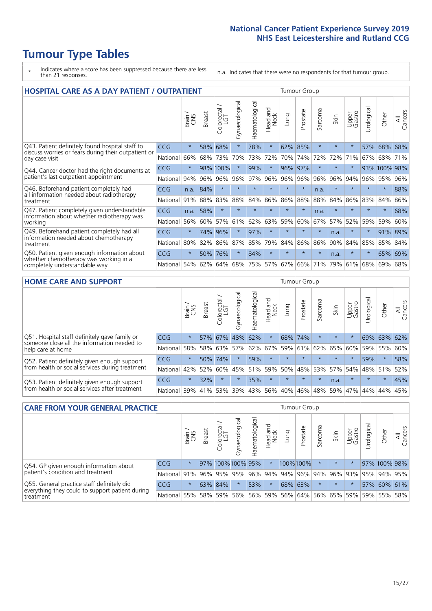# **Tumour Type Tables**

- \* Indicates where a score has been suppressed because there are less than 21 responses.
- n.a. Indicates that there were no respondents for that tumour group.

| <b>HOSPITAL CARE AS A DAY PATIENT / OUTPATIENT</b>                                     |            |         |               |                                                 |                |                |                        |         |          |              | <b>Tumour Group</b> |                 |            |              |                |  |  |  |  |
|----------------------------------------------------------------------------------------|------------|---------|---------------|-------------------------------------------------|----------------|----------------|------------------------|---------|----------|--------------|---------------------|-----------------|------------|--------------|----------------|--|--|--|--|
|                                                                                        |            | Brain   | <b>Breast</b> | $\overline{\phantom{0}}$<br>Colorectal /<br>LGT | Gynaecological | Haematological | ad and<br>Neck<br>Head | Lung    | Prostate | arcoma<br>ιñ | Skin                | Upper<br>Gastro | Urological | Other        | All<br>Cancers |  |  |  |  |
| Q43. Patient definitely found hospital staff to                                        | <b>CCG</b> | $\star$ | 58%           | 68%                                             | $\star$        | 78%            | $\star$                | 62%     | 85%      | $\star$      | $\star$             | $\star$         | 57%        | 68%          | 68%            |  |  |  |  |
| discuss worries or fears during their outpatient or<br>day case visit                  | National   | 66%     | 68%           | 73%                                             | 70%            | 73%            | 72%                    | 70%     | 74%      | 72%          | 72%                 | 71%             | 67%        | 68%          | 71%            |  |  |  |  |
| Q44. Cancer doctor had the right documents at<br>patient's last outpatient appointment | <b>CCG</b> | $\star$ |               | 98% 100%                                        |                | 99%            | $\star$                | 96%     | 97%      | $\ast$       |                     |                 |            | 93% 100% 98% |                |  |  |  |  |
|                                                                                        | National   | 94%     | 96%           | 96%                                             | 96%            | 97%            | 96%                    | 96%     | 96%      | 96%          | 96%                 | 94%             | 96%        | 95%          | 96%            |  |  |  |  |
| Q46. Beforehand patient completely had                                                 | CCG        | n.a.    | 84%           | $\star$                                         | $\star$        | $\star$        | $\star$                | $\star$ | $\star$  | n.a.         |                     | $\star$         | $\star$    | $\ast$       | 88%            |  |  |  |  |
| all information needed about radiotherapy<br>treatment                                 | National   | 91%     | 88%           | 83%                                             | 88%            | 84%            | 86%                    | 86%     | 88%      | 88%          | 84%                 | 86%             | 83%        | 84%          | 86%            |  |  |  |  |
| Q47. Patient completely given understandable                                           | <b>CCG</b> | n.a.    | 58%           | $\star$                                         |                |                | $\star$                | $\star$ | $\star$  | n.a.         | $\star$             | $\star$         | ÷          | $\ast$       | 68%            |  |  |  |  |
| information about whether radiotherapy was<br>working                                  | National   | 56%     | 60%           | 57%                                             | 61%            | 62%            | 63%                    | 59%     | 60%      | 67%          | 57%                 | 52%             | 59%        | 59%          | 60%            |  |  |  |  |
| Q49. Beforehand patient completely had all                                             | CCG        | $\star$ | 74%           | 96%                                             | $\star$        | 97%            | $\star$                | $\star$ | $\star$  | $\star$      | n.a.                | $\star$         | $\star$    | 91%          | 89%            |  |  |  |  |
| information needed about chemotherapy<br>treatment                                     | National   | 80%     | 82%           | 86%                                             | 87%            | 85%            | 79%                    | 84%     | 86%      | 86%          | 90%                 | 84%             | 85%        | 85%          | 84%            |  |  |  |  |
| Q50. Patient given enough information about                                            | <b>CCG</b> | $\star$ | 50%           | 76%                                             | $\star$        | 84%            | $\star$                | $\star$ | $\star$  | $\star$      | n.a.                |                 | $\star$    | 65%          | 69%            |  |  |  |  |
| whether chemotherapy was working in a<br>completely understandable way                 | National   | 54%     | 62%           | 64%                                             | 68%            | 75%            |                        | 57% 67% | 66%      | 71%          | 79%                 | 61%             | 68%        | 69%          | 68%            |  |  |  |  |

#### **HOME CARE AND SUPPORT** Tumour Group

|                                                                                                                   |            | Brain   | <b>Breast</b> | Colorectal<br>LGT | ᢛ<br>Gynaecologic | Haematological | ad and<br>Neck<br>Head | Lung    | Prostate | Sarcoma | Skin    | Upper<br>Gastro | Urological | Other   | All<br>Cancers |
|-------------------------------------------------------------------------------------------------------------------|------------|---------|---------------|-------------------|-------------------|----------------|------------------------|---------|----------|---------|---------|-----------------|------------|---------|----------------|
| Q51. Hospital staff definitely gave family or<br>someone close all the information needed to<br>help care at home | <b>CCG</b> | $\star$ |               | 57% 67%           | 48%               | 62%            | $\star$                |         | 68% 74%  |         | $\star$ | $\star$         |            | 69% 63% | 62%            |
|                                                                                                                   | National   | 58%     |               | 58% 63%           | 57%               | 62%            | 67%                    | 59%     | 61%      |         | 62% 65% | 60%             | 59%        | 55%     | 60%            |
| Q52. Patient definitely given enough support<br>from health or social services during treatment                   | <b>CCG</b> | $\star$ |               | 50% 74%           | $\star$           | 59%            | $\star$                | $\star$ | $\star$  |         | $\star$ | $\star$         | 59%        | $\ast$  | 58%            |
|                                                                                                                   | National   | 42%     | 52%           | 60%               |                   | 45% 51%        | 59%                    | 50%     | 48%      |         | 53% 57% | 54%             | 48% 51%    |         | 52%            |
| Q53. Patient definitely given enough support<br>from health or social services after treatment                    | <b>CCG</b> | $\star$ | 32%           |                   | $\star$           | 35%            | $\star$                | $\star$ | $\star$  | $\star$ | n.a.    | $\star$         | $\star$    | $\star$ | 45%            |
|                                                                                                                   | National   | 39%     |               | 41% 53%           | 39%               | 43%            | 56%                    | 40%     | 46%      | 48% 59% |         | 47%             | 44%        | 44%     | 45%            |

| <b>CARE FROM YOUR GENERAL PRACTICE</b>                                                                     |              |               |               |                   |                                                         |                | Tumour Group     |      |                     |         |         |                 |           |              |                |
|------------------------------------------------------------------------------------------------------------|--------------|---------------|---------------|-------------------|---------------------------------------------------------|----------------|------------------|------|---------------------|---------|---------|-----------------|-----------|--------------|----------------|
|                                                                                                            |              | Brain.<br>CNS | <b>Breast</b> | Colorectal<br>LGT | Gynaecological                                          | Haematological | Head and<br>Neck | Lung | Prostate            | Sarcoma | Skin    | Upper<br>Gastro | Urologica | Other        | All<br>Cancers |
| Q54. GP given enough information about<br>patient's condition and treatment                                | <b>CCG</b>   | $\star$       |               |                   | 97% 100% 100% 95%                                       |                | $\star$          |      | 100%100%            | $\star$ | $\star$ | $\star$         |           | 97% 100% 98% |                |
|                                                                                                            | National 91% |               |               |                   | 96% 95% 95% 96% 94% 94% 96% 94% 96% 93% 93% 95% 94% 95% |                |                  |      |                     |         |         |                 |           |              |                |
| Q55. General practice staff definitely did<br>everything they could to support patient during<br>treatment | <b>CCG</b>   | $\star$       |               | 63% 84%           | $\star$                                                 | 53%            | $\star$          |      | 68% 63%             | $\star$ | $\star$ | $\star$         |           | 57% 60% 61%  |                |
|                                                                                                            | National 55% |               |               | 58% 59%           | 56%                                                     |                | 56% 59%          |      | 56% 64% 56% 65% 59% |         |         |                 |           | 59% 55% 58%  |                |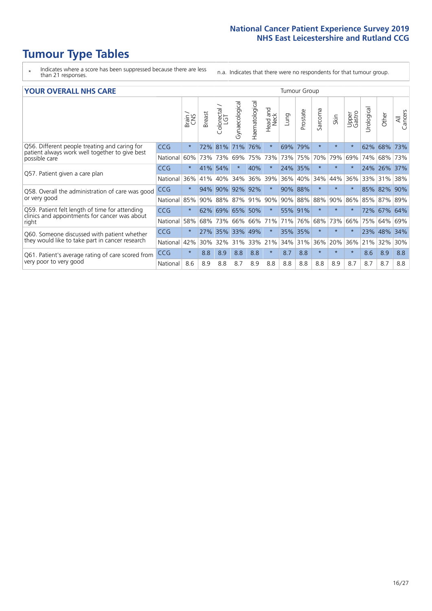# **Tumour Type Tables**

- \* Indicates where a score has been suppressed because there are less than 21 responses.
- n.a. Indicates that there were no respondents for that tumour group.

|  | <b>YOUR OVERALL NHS CARE</b> |  |  |
|--|------------------------------|--|--|
|--|------------------------------|--|--|

| <b>YOUR OVERALL NHS CARE</b>                                    |            |         |        |                        |                |                |                  | <b>Tumour Group</b> |          |               |         |                 |           |         |                |  |
|-----------------------------------------------------------------|------------|---------|--------|------------------------|----------------|----------------|------------------|---------------------|----------|---------------|---------|-----------------|-----------|---------|----------------|--|
|                                                                 |            | Brain   | Breast | olorectal.<br>LGT<br>Û | Gynaecological | Haematological | Head and<br>Neck | Lung                | Prostate | arcoma<br>آرا | Skin    | Upper<br>Gastro | Urologica | Other   | All<br>Cancers |  |
| Q56. Different people treating and caring for                   | <b>CCG</b> | $\star$ | 72%    | 81%                    | 71%            | 76%            | $\star$          | 69% 79%             |          | $\star$       | $\star$ |                 | 62%       | 68%     | 73%            |  |
| patient always work well together to give best<br>possible care | National   | 60%     | 73%    | 73%                    | 69%            | 75%            | 73%              | 73%                 | 75%      | 70%           | 79%     | 69%             | 74%       | 68%     | 73%            |  |
| Q57. Patient given a care plan                                  | CCG        | $\star$ | 41%    | 54%                    |                | 40%            | $\star$          | 24% 35%             |          | $\star$       | $\star$ |                 |           | 24% 26% | 37%            |  |
|                                                                 | National   | 36%     | 41%    | 40%                    | 34%            | 36%            | 39%              | 36% 40%             |          | 34%           | 44%     | 36%             |           | 33% 31% | 38%            |  |
| Q58. Overall the administration of care was good                | <b>CCG</b> | $\star$ | 94%    | 90%                    | 92%            | 92%            | $\ast$           | 90% 88%             |          | $\star$       | $\ast$  |                 |           | 85% 82% | 90%            |  |
| or very good                                                    | National   | 85%     | 90%    | 88%                    | 87%            | 91%            | 90%              | 90%                 | 88%      | 88%           | 90%     | 86%             | 85%       | 87%     | 89%            |  |
| Q59. Patient felt length of time for attending                  | CCG        | $\star$ | 62%    | 69%                    | 65%            | 50%            | $\ast$           | 55% 91%             |          | $\star$       | $\star$ |                 | 72%       | 67%     | 64%            |  |
| clinics and appointments for cancer was about<br>right          | National   | 58%     | 68%    | 73%                    | 66%            | 66%            | 71%              | 71% 76%             |          | 68%           | 73%     | 66%             | 75%       | 64%     | 69%            |  |
| Q60. Someone discussed with patient whether                     | <b>CCG</b> | $\star$ | 27%    | 35%                    | 33%            | 49%            | $\ast$           | 35% 35%             |          | $\ast$        | $\ast$  |                 |           | 23% 48% | 34%            |  |
| they would like to take part in cancer research                 | National   | 42%     | 30%    | 32%                    | 31%            | 33%            | 21%              |                     | 34% 31%  | 36%           | 20%     | 36%             | 21%       | 32%     | 30%            |  |
| Q61. Patient's average rating of care scored from               | <b>CCG</b> | $\star$ | 8.8    | 8.9                    | 8.8            | 8.8            | $\ast$           | 8.7                 | 8.8      | $\star$       | $\star$ | $\star$         | 8.6       | 8.9     | 8.8            |  |
| very poor to very good                                          | National   | 8.6     | 8.9    | 8.8                    | 8.7            | 8.9            | 8.8              | 8.8                 | 8.8      | 8.8           | 8.9     | 8.7             | 8.7       | 8.7     | 8.8            |  |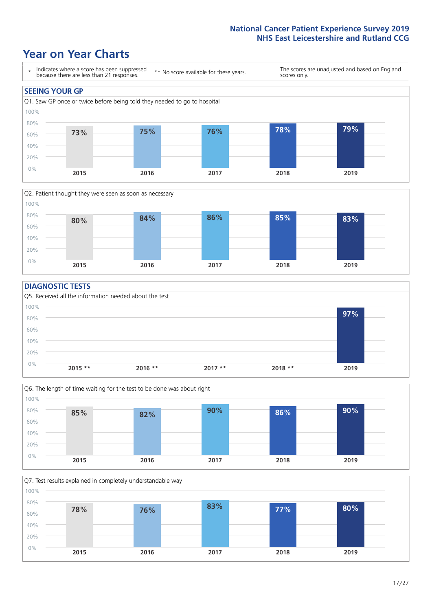### **Year on Year Charts**





#### **DIAGNOSTIC TESTS**





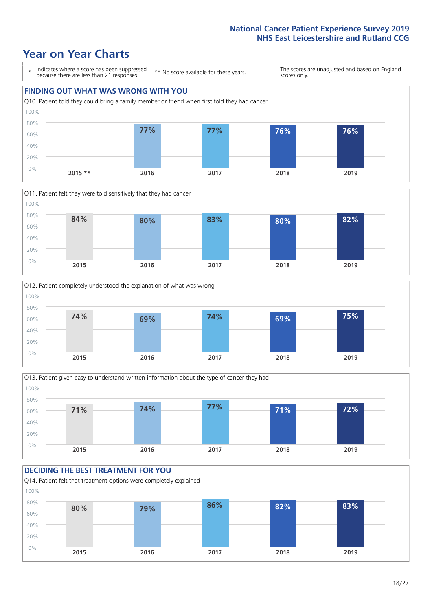### **Year on Year Charts**









#### **DECIDING THE BEST TREATMENT FOR YOU**

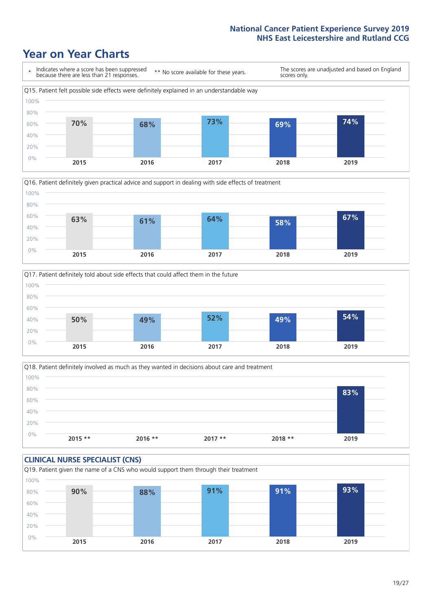## **Year on Year Charts**







Q18. Patient definitely involved as much as they wanted in decisions about care and treatment  $0%$ 20% 40% 60% 80% 100% **2015 \*\* 2016 \*\* 2017 \*\* 2018 \*\* 2019 83%**

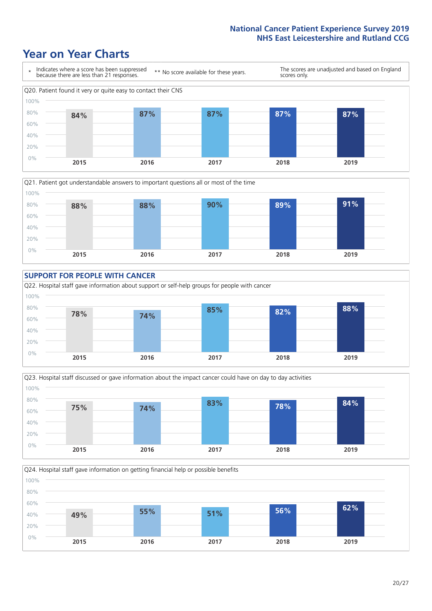### **Year on Year Charts**









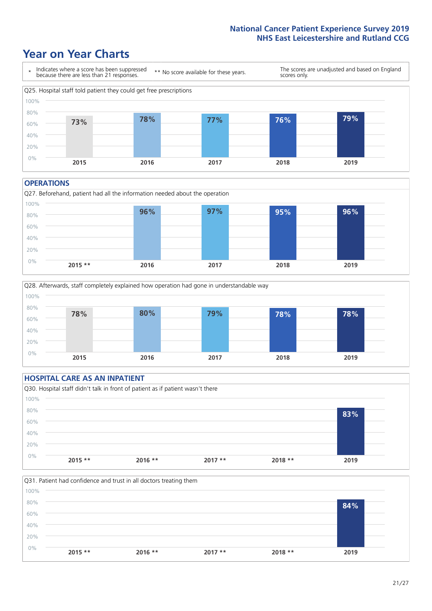### **Year on Year Charts**



#### **OPERATIONS**





#### **HOSPITAL CARE AS AN INPATIENT** Q30. Hospital staff didn't talk in front of patient as if patient wasn't there 0% 20% 40% 60% 80% 100% **2015 \*\* 2016 \*\* 2017 \*\* 2018 \*\* 2019 83%**

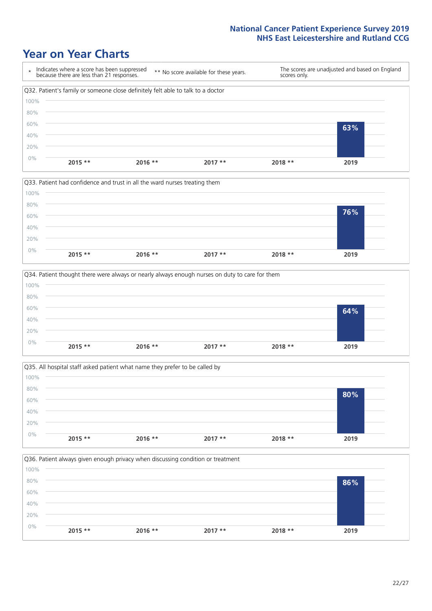### **Year on Year Charts**









![](_page_21_Figure_6.jpeg)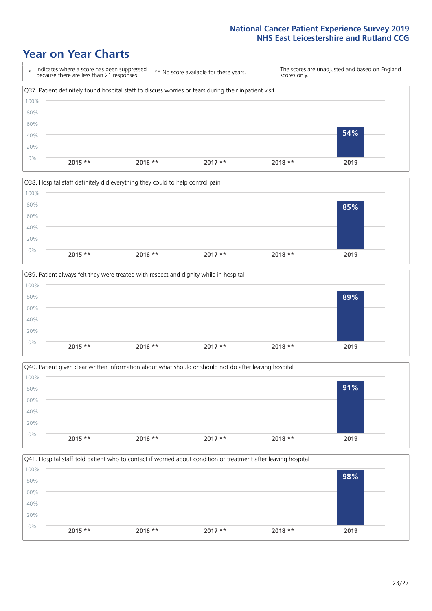## **Year on Year Charts**

![](_page_22_Figure_2.jpeg)

![](_page_22_Figure_3.jpeg)

![](_page_22_Figure_4.jpeg)

![](_page_22_Figure_5.jpeg)

![](_page_22_Figure_6.jpeg)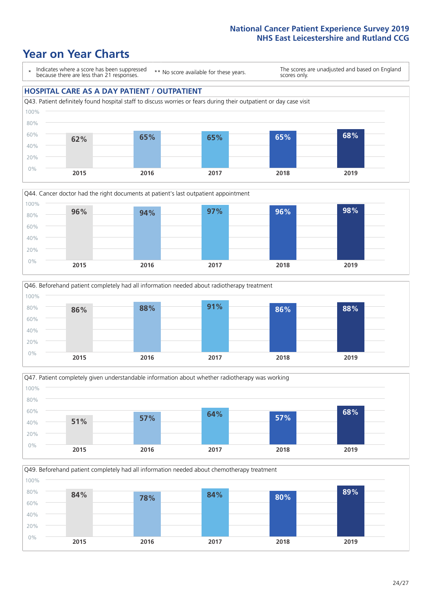### **Year on Year Charts**

\* Indicates where a score has been suppressed because there are less than 21 responses.

\*\* No score available for these years.

The scores are unadjusted and based on England scores only.

#### **HOSPITAL CARE AS A DAY PATIENT / OUTPATIENT**

![](_page_23_Figure_6.jpeg)

![](_page_23_Figure_7.jpeg)

![](_page_23_Figure_8.jpeg)

![](_page_23_Figure_9.jpeg)

Q49. Beforehand patient completely had all information needed about chemotherapy treatment

![](_page_23_Figure_11.jpeg)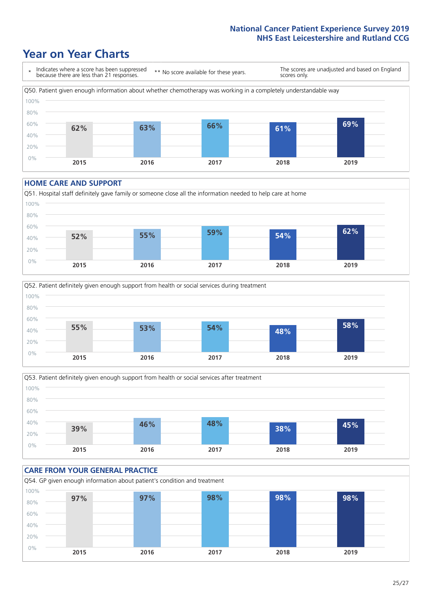### **Year on Year Charts**

![](_page_24_Figure_2.jpeg)

#### **HOME CARE AND SUPPORT**

![](_page_24_Figure_4.jpeg)

![](_page_24_Figure_5.jpeg)

![](_page_24_Figure_6.jpeg)

![](_page_24_Figure_7.jpeg)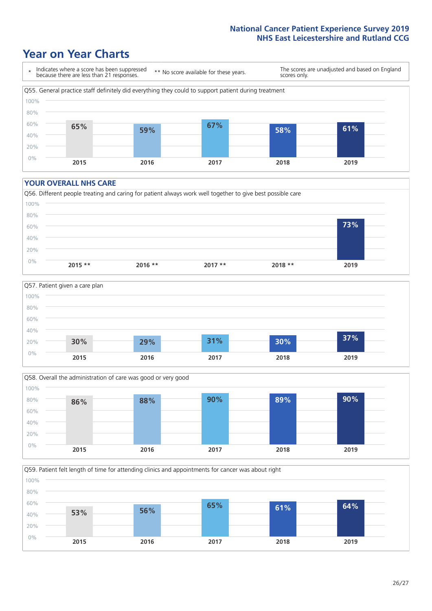## **Year on Year Charts**

![](_page_25_Figure_2.jpeg)

#### **YOUR OVERALL NHS CARE**

![](_page_25_Figure_4.jpeg)

![](_page_25_Figure_5.jpeg)

![](_page_25_Figure_6.jpeg)

Q59. Patient felt length of time for attending clinics and appointments for cancer was about right

![](_page_25_Figure_8.jpeg)